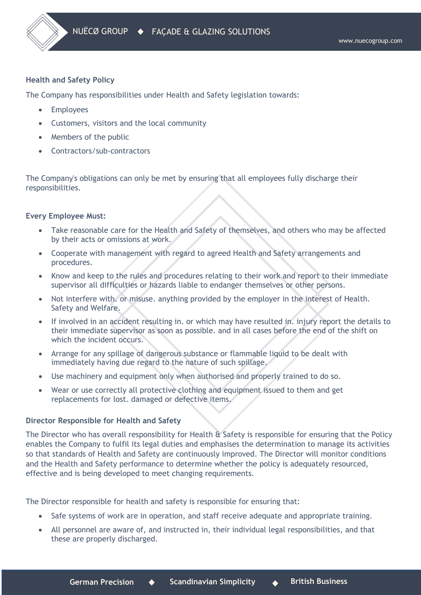# **Health and Safety Policy**

The Company has responsibilities under Health and Safety legislation towards:

- Employees
- Customers, visitors and the local community
- Members of the public
- Contractors/sub-contractors

The Company's obligations can only be met by ensuring that all employees fully discharge their responsibilities.

# **Every Employee Must:**

- Take reasonable care for the Health and Safety of themselves, and others who may be affected by their acts or omissions at work.
- Cooperate with management with regard to agreed Health and Safety arrangements and procedures.
- Know and keep to the rules and procedures relating to their work and report to their immediate supervisor all difficulties or hazards liable to endanger themselves or other persons.
- Not interfere with. or misuse. anything provided by the employer in the interest of Health. Safety and Welfare.
- If involved in an accident resulting in. or which may have resulted in. injury report the details to their immediate supervisor as soon as possible. and in all cases before the end of the shift on which the incident occurs.
- Arrange for any spillage of dangerous substance or flammable liquid to be dealt with immediately having due regard to the nature of such spillage.
- Use machinery and equipment only when authorised and properly trained to do so.
- Wear or use correctly all protective clothing and equipment issued to them and get replacements for lost. damaged or defective items.

### **Director Responsible for Health and Safety**

The Director who has overall responsibility for Health & Safety is responsible for ensuring that the Policy enables the Company to fulfil its legal duties and emphasises the determination to manage its activities so that standards of Health and Safety are continuously improved. The Director will monitor conditions and the Health and Safety performance to determine whether the policy is adequately resourced, effective and is being developed to meet changing requirements.

The Director responsible for health and safety is responsible for ensuring that:

- Safe systems of work are in operation, and staff receive adequate and appropriate training.
- All personnel are aware of, and instructed in, their individual legal responsibilities, and that these are properly discharged.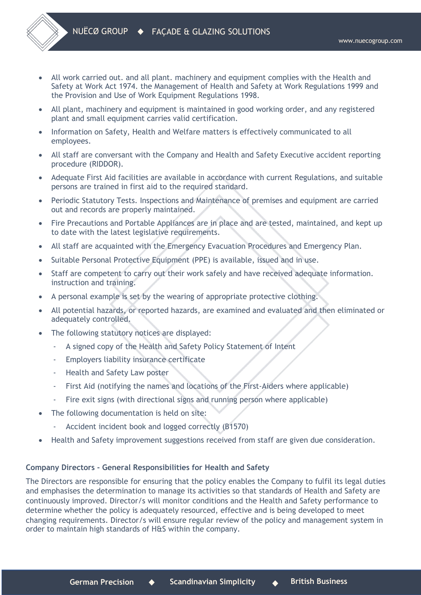

- All work carried out. and all plant. machinery and equipment complies with the Health and Safety at Work Act 1974. the Management of Health and Safety at Work Regulations 1999 and the Provision and Use of Work Equipment Regulations 1998.
- All plant, machinery and equipment is maintained in good working order, and any registered plant and small equipment carries valid certification.
- Information on Safety, Health and Welfare matters is effectively communicated to all employees.
- All staff are conversant with the Company and Health and Safety Executive accident reporting procedure (RIDDOR).
- Adequate First Aid facilities are available in accordance with current Regulations, and suitable persons are trained in first aid to the required standard.
- Periodic Statutory Tests. Inspections and Maintenance of premises and equipment are carried out and records are properly maintained.
- Fire Precautions and Portable Appliances are in place and are tested, maintained, and kept up to date with the latest legislative requirements.
- All staff are acquainted with the Emergency Evacuation Procedures and Emergency Plan.
- Suitable Personal Protective Equipment (PPE) is available, issued and in use.
- Staff are competent to carry out their work safely and have received adequate information. instruction and training.
- A personal example is set by the wearing of appropriate protective clothing.
- All potential hazards, or reported hazards, are examined and evaluated and then eliminated or adequately controlled.
- The following statutory notices are displayed:
	- A signed copy of the Health and Safety Policy Statement of Intent
	- Employers liability insurance certificate
	- Health and Safety Law poster
	- First Aid (notifying the names and locations of the First-Aiders where applicable)
	- Fire exit signs (with directional signs and running person where applicable)
- The following documentation is held on site:
	- Accident incident book and logged correctly (B1570)
- Health and Safety improvement suggestions received from staff are given due consideration.

# **Company Directors - General Responsibilities for Health and Safety**

The Directors are responsible for ensuring that the policy enables the Company to fulfil its legal duties and emphasises the determination to manage its activities so that standards of Health and Safety are continuously improved. Director/s will monitor conditions and the Health and Safety performance to determine whether the policy is adequately resourced, effective and is being developed to meet changing requirements. Director/s will ensure regular review of the policy and management system in order to maintain high standards of H&S within the company.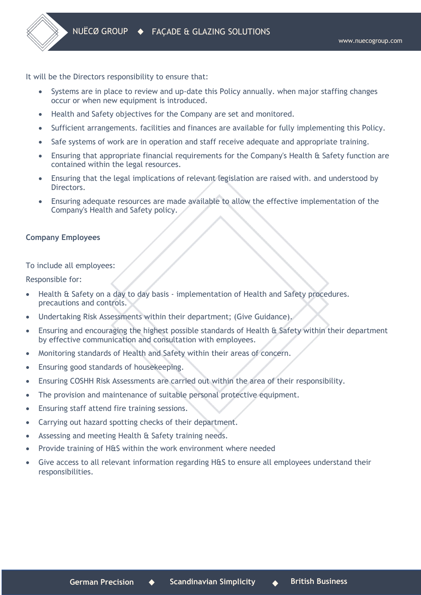It will be the Directors responsibility to ensure that:

- Systems are in place to review and up-date this Policy annually. when major staffing changes occur or when new equipment is introduced.
- Health and Safety objectives for the Company are set and monitored.
- Sufficient arrangements. facilities and finances are available for fully implementing this Policy.
- Safe systems of work are in operation and staff receive adequate and appropriate training.
- Ensuring that appropriate financial requirements for the Company's Health & Safety function are contained within the legal resources.
- Ensuring that the legal implications of relevant legislation are raised with. and understood by Directors.
- Ensuring adequate resources are made available to allow the effective implementation of the Company's Health and Safety policy.

# **Company Employees**

To include all employees:

Responsible for:

- Health & Safety on a day to day basis implementation of Health and Safety procedures. precautions and controls.
- Undertaking Risk Assessments within their department; (Give Guidance).
- Ensuring and encouraging the highest possible standards of Health & Safety within their department by effective communication and consultation with employees.
- Monitoring standards of Health and Safety within their areas of concern.
- Ensuring good standards of housekeeping.
- Ensuring COSHH Risk Assessments are carried out within the area of their responsibility.
- The provision and maintenance of suitable personal protective equipment.
- Ensuring staff attend fire training sessions.
- Carrying out hazard spotting checks of their department.
- Assessing and meeting Health & Safety training needs.
- Provide training of H&S within the work environment where needed
- Give access to all relevant information regarding H&S to ensure all employees understand their responsibilities.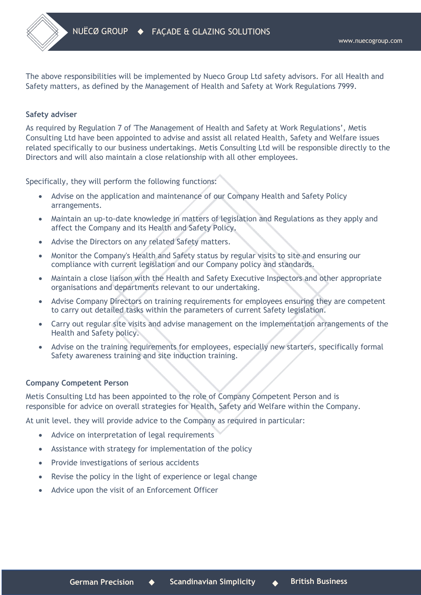

The above responsibilities will be implemented by Nueco Group Ltd safety advisors. For all Health and Safety matters, as defined by the Management of Health and Safety at Work Regulations 7999.

## **Safety adviser**

As required by Regulation 7 of 'The Management of Health and Safety at Work Regulations', Metis Consulting Ltd have been appointed to advise and assist all related Health, Safety and Welfare issues related specifically to our business undertakings. Metis Consulting Ltd will be responsible directly to the Directors and will also maintain a close relationship with all other employees.

Specifically, they will perform the following functions:

- Advise on the application and maintenance of our Company Health and Safety Policy arrangements.
- Maintain an up-to-date knowledge in matters of legislation and Regulations as they apply and affect the Company and its Health and Safety Policy.
- Advise the Directors on any related Safety matters.
- Monitor the Company's Health and Safety status by regular visits to site and ensuring our compliance with current legislation and our Company policy and standards.
- Maintain a close liaison with the Health and Safety Executive Inspectors and other appropriate organisations and departments relevant to our undertaking.
- Advise Company Directors on training requirements for employees ensuring they are competent to carry out detailed tasks within the parameters of current Safety legislation.
- Carry out regular site visits and advise management on the implementation arrangements of the Health and Safety policy.
- Advise on the training requirements for employees, especially new starters, specifically formal Safety awareness training and site induction training.

### **Company Competent Person**

Metis Consulting Ltd has been appointed to the role of Company Competent Person and is responsible for advice on overall strategies for Health, Safety and Welfare within the Company.

At unit level. they will provide advice to the Company as required in particular:

- Advice on interpretation of legal requirements
- Assistance with strategy for implementation of the policy
- Provide investigations of serious accidents
- Revise the policy in the light of experience or legal change
- Advice upon the visit of an Enforcement Officer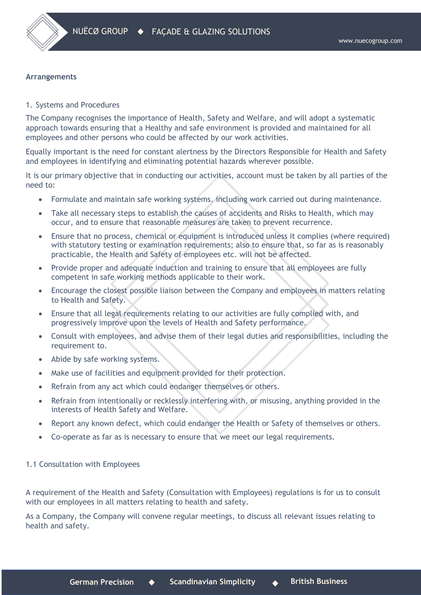

# **Arrangements**

# 1. Systems and Procedures

The Company recognises the importance of Health, Safety and Welfare, and will adopt a systematic approach towards ensuring that a Healthy and safe environment is provided and maintained for all employees and other persons who could be affected by our work activities.

Equally important is the need for constant alertness by the Directors Responsible for Health and Safety and employees in identifying and eliminating potential hazards wherever possible.

It is our primary objective that in conducting our activities, account must be taken by all parties of the need to:

- Formulate and maintain safe working systems. including work carried out during maintenance.
- Take all necessary steps to establish the causes of accidents and Risks to Health, which may occur, and to ensure that reasonable measures are taken to prevent recurrence.
- Ensure that no process, chemical or equipment is introduced unless it complies (where required) with statutory testing or examination requirements; also to ensure that, so far as is reasonably practicable, the Health and Safety of employees etc. will not be affected.
- Provide proper and adequate induction and training to ensure that all employees are fully competent in safe working methods applicable to their work.
- Encourage the closest possible liaison between the Company and employees in matters relating to Health and Safety.
- Ensure that all legal requirements relating to our activities are fully complied with, and progressively improve upon the levels of Health and Safety performance.
- Consult with employees, and advise them of their legal duties and responsibilities, including the requirement to.
- Abide by safe working systems.
- Make use of facilities and equipment provided for their protection.
- Refrain from any act which could endanger themselves or others.
- Refrain from intentionally or recklessly interfering with, or misusing, anything provided in the interests of Health Safety and Welfare.
- Report any known defect, which could endanger the Health or Safety of themselves or others.
- Co-operate as far as is necessary to ensure that we meet our legal requirements.

### 1.1 Consultation with Employees

A requirement of the Health and Safety (Consultation with Employees) regulations is for us to consult with our employees in all matters relating to health and safety.

As a Company, the Company will convene regular meetings, to discuss all relevant issues relating to health and safety.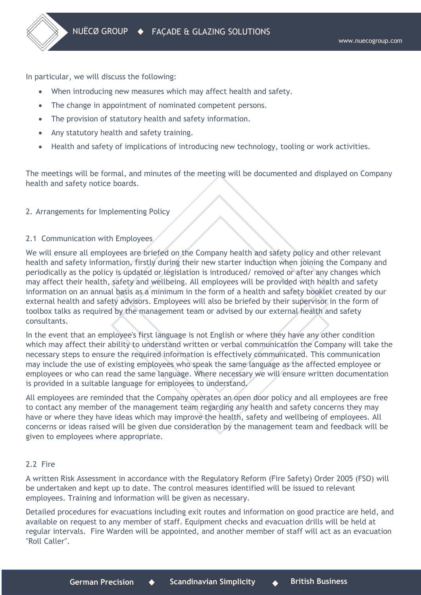In particular, we will discuss the following:

- When introducing new measures which may affect health and safety.
- The change in appointment of nominated competent persons.
- The provision of statutory health and safety information.
- Any statutory health and safety training.
- Health and safety of implications of introducing new technology, tooling or work activities.

The meetings will be formal, and minutes of the meeting will be documented and displayed on Company health and safety notice boards.

# 2. Arrangements for Implementing Policy

# 2.1 Communication with Employees

We will ensure all employees are briefed on the Company health and safety policy and other relevant health and safety information, firstly during their new starter induction when joining the Company and periodically as the policy is updated or legislation is introduced/ removed or after any changes which may affect their health, safety and wellbeing. All employees will be provided with health and safety information on an annual basis as a minimum in the form of a health and safety booklet created by our external health and safety advisors. Employees will also be briefed by their supervisor in the form of toolbox talks as required by the management team or advised by our external health and safety consultants.

In the event that an employee's first language is not English or where they have any other condition which may affect their ability to understand written or verbal communication the Company will take the necessary steps to ensure the required information is effectively communicated. This communication may include the use of existing employees who speak the same language as the affected employee or employees or who can read the same language. Where necessary we will ensure written documentation is provided in a suitable language for employees to understand.

All employees are reminded that the Company operates an open door policy and all employees are free to contact any member of the management team regarding any health and safety concerns they may have or where they have ideas which may improve the health, safety and wellbeing of employees. All concerns or ideas raised will be given due consideration by the management team and feedback will be given to employees where appropriate.

# 2.2 Fire

A written Risk Assessment in accordance with the Regulatory Reform (Fire Safety) Order 2005 (FSO) will be undertaken and kept up to date. The control measures identified will be issued to relevant employees. Training and information will be given as necessary.

Detailed procedures for evacuations including exit routes and information on good practice are held, and available on request to any member of staff. Equipment checks and evacuation drills will be held at regular intervals. Fire Warden will be appointed, and another member of staff will act as an evacuation "Roll Caller".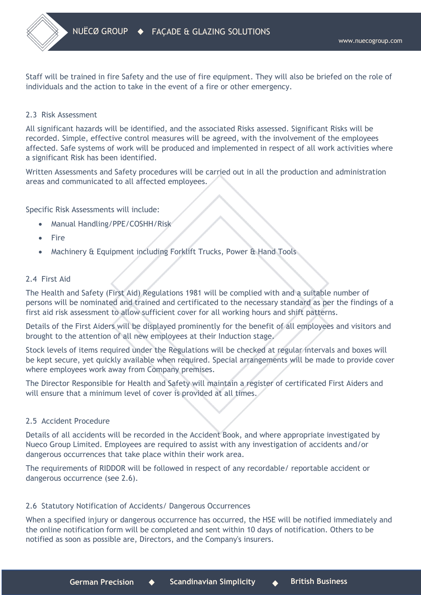Staff will be trained in fire Safety and the use of fire equipment. They will also be briefed on the role of individuals and the action to take in the event of a fire or other emergency.

# 2.3 Risk Assessment

All significant hazards will be identified, and the associated Risks assessed. Significant Risks will be recorded. Simple, effective control measures will be agreed, with the involvement of the employees affected. Safe systems of work will be produced and implemented in respect of all work activities where a significant Risk has been identified.

Written Assessments and Safety procedures will be carried out in all the production and administration areas and communicated to all affected employees.

Specific Risk Assessments will include:

- Manual Handling/PPE/COSHH/Risk
- Fire
- Machinery & Equipment including Forklift Trucks, Power & Hand Tools

# 2.4 First Aid

The Health and Safety (First Aid) Regulations 1981 will be complied with and a suitable number of persons will be nominated and trained and certificated to the necessary standard as per the findings of a first aid risk assessment to allow sufficient cover for all working hours and shift patterns.

Details of the First Aiders will be displayed prominently for the benefit of all employees and visitors and brought to the attention of all new employees at their Induction stage.

Stock levels of items required under the Regulations will be checked at regular intervals and boxes will be kept secure, yet quickly available when required. Special arrangements will be made to provide cover where employees work away from Company premises.

The Director Responsible for Health and Safety will maintain a register of certificated First Aiders and will ensure that a minimum level of cover is provided at all times.

### 2.5 Accident Procedure

Details of all accidents will be recorded in the Accident Book, and where appropriate investigated by Nueco Group Limited. Employees are required to assist with any investigation of accidents and/or dangerous occurrences that take place within their work area.

The requirements of RIDDOR will be followed in respect of any recordable/ reportable accident or dangerous occurrence (see 2.6).

# 2.6 Statutory Notification of Accidents/ Dangerous Occurrences

When a specified injury or dangerous occurrence has occurred, the HSE will be notified immediately and the online notification form will be completed and sent within 10 days of notification. Others to be notified as soon as possible are, Directors, and the Company's insurers.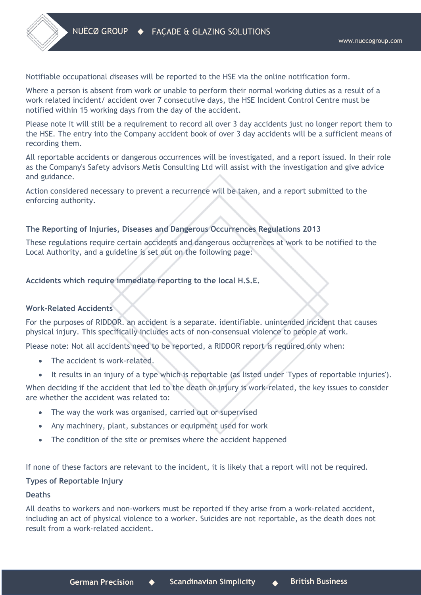Notifiable occupational diseases will be reported to the HSE via the online notification form.

Where a person is absent from work or unable to perform their normal working duties as a result of a work related incident/ accident over 7 consecutive days, the HSE Incident Control Centre must be notified within 15 working days from the day of the accident.

Please note it will still be a requirement to record all over 3 day accidents just no longer report them to the HSE. The entry into the Company accident book of over 3 day accidents will be a sufficient means of recording them.

All reportable accidents or dangerous occurrences will be investigated, and a report issued. In their role as the Company's Safety advisors Metis Consulting Ltd will assist with the investigation and give advice and guidance.

Action considered necessary to prevent a recurrence will be taken, and a report submitted to the enforcing authority.

# **The Reporting of Injuries, Diseases and Dangerous Occurrences Regulations 2013**

These regulations require certain accidents and dangerous occurrences at work to be notified to the Local Authority, and a guideline is set out on the following page:

# **Accidents which require immediate reporting to the local H.S.E.**

### **Work-Related Accidents**

For the purposes of RIDDOR. an accident is a separate. identifiable. unintended incident that causes physical injury. This specifically includes acts of non-consensual violence to people at work.

Please note: Not all accidents need to be reported, a RIDDOR report is required only when:

- The accident is work-related.
- It results in an injury of a type which is reportable (as listed under 'Types of reportable injuries').

When deciding if the accident that led to the death or injury is work-related, the key issues to consider are whether the accident was related to:

- The way the work was organised, carried out or supervised
- Any machinery, plant, substances or equipment used for work
- The condition of the site or premises where the accident happened

If none of these factors are relevant to the incident, it is likely that a report will not be required.

# **Types of Reportable Injury**

## **Deaths**

All deaths to workers and non-workers must be reported if they arise from a work-related accident, including an act of physical violence to a worker. Suicides are not reportable, as the death does not result from a work-related accident.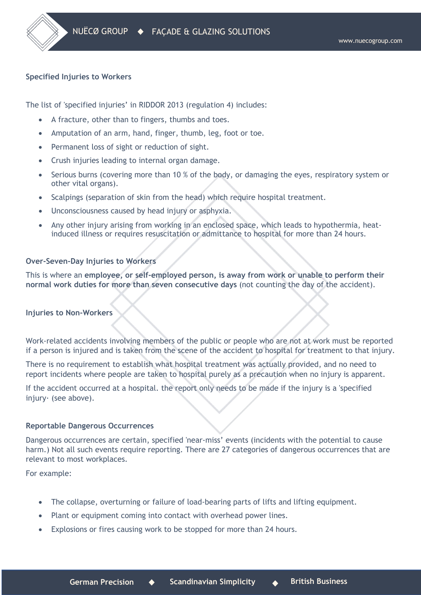# **Specified Injuries to Workers**

The list of 'specified injuries' in RIDDOR 2013 (regulation 4) includes:

- A fracture, other than to fingers, thumbs and toes.
- Amputation of an arm, hand, finger, thumb, leg, foot or toe.
- Permanent loss of sight or reduction of sight.
- Crush injuries leading to internal organ damage.
- Serious burns (covering more than 10 % of the body, or damaging the eyes, respiratory system or other vital organs).
- Scalpings (separation of skin from the head) which require hospital treatment.
- Unconsciousness caused by head injury or asphyxia.
- Any other injury arising from working in an enclosed space, which leads to hypothermia, heatinduced illness or requires resuscitation or admittance to hospital for more than 24 hours.

# **Over-Seven-Day Injuries to Workers**

This is where an **employee, or self-employed person, is away from work or unable to perform their normal work duties for more than seven consecutive days** (not counting the day of the accident).

### **Injuries to Non-Workers**

Work-related accidents involving members of the public or people who are not at work must be reported if a person is injured and is taken from the scene of the accident to hospital for treatment to that injury.

There is no requirement to establish what hospital treatment was actually provided, and no need to report incidents where people are taken to hospital purely as a precaution when no injury is apparent.

If the accident occurred at a hospital. the report only needs to be made if the injury is a 'specified injury· (see above).

### **Reportable Dangerous Occurrences**

Dangerous occurrences are certain, specified 'near-miss' events (incidents with the potential to cause harm.) Not all such events require reporting. There are 27 categories of dangerous occurrences that are relevant to most workplaces.

For example:

- The collapse, overturning or failure of load-bearing parts of lifts and lifting equipment.
- Plant or equipment coming into contact with overhead power lines.
- Explosions or fires causing work to be stopped for more than 24 hours.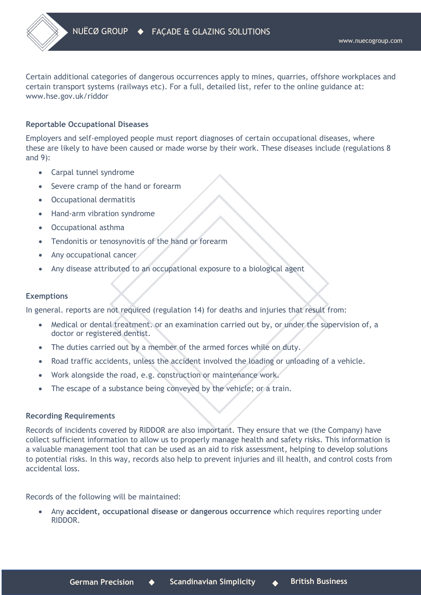Certain additional categories of dangerous occurrences apply to mines, quarries, offshore workplaces and certain transport systems (railways etc). For a full, detailed list, refer to the online guidance at: www.hse.gov.uk/riddor

# **Reportable Occupational Diseases**

Employers and self-employed people must report diagnoses of certain occupational diseases, where these are likely to have been caused or made worse by their work. These diseases include (regulations 8 and 9):

- Carpal tunnel syndrome
- Severe cramp of the hand or forearm
- Occupational dermatitis
- Hand-arm vibration syndrome
- Occupational asthma
- Tendonitis or tenosynovitis of the hand or forearm
- Any occupational cancer
- Any disease attributed to an occupational exposure to a biological agent

#### **Exemptions**

In general. reports are not required (regulation 14) for deaths and injuries that result from:

- Medical or dental treatment. or an examination carried out by, or under the supervision of, a doctor or registered dentist.
- The duties carried out by a member of the armed forces while on duty.
- Road traffic accidents, unless the accident involved the loading or unloading of a vehicle.
- Work alongside the road, e.g. construction or maintenance work.
- The escape of a substance being conveyed by the vehicle; or a train.

### **Recording Requirements**

Records of incidents covered by RIDDOR are also important. They ensure that we (the Company) have collect sufficient information to allow us to properly manage health and safety risks. This information is a valuable management tool that can be used as an aid to risk assessment, helping to develop solutions to potential risks. In this way, records also help to prevent injuries and ill health, and control costs from accidental loss.

Records of the following will be maintained:

• Any **accident, occupational disease or dangerous occurrence** which requires reporting under RIDDOR.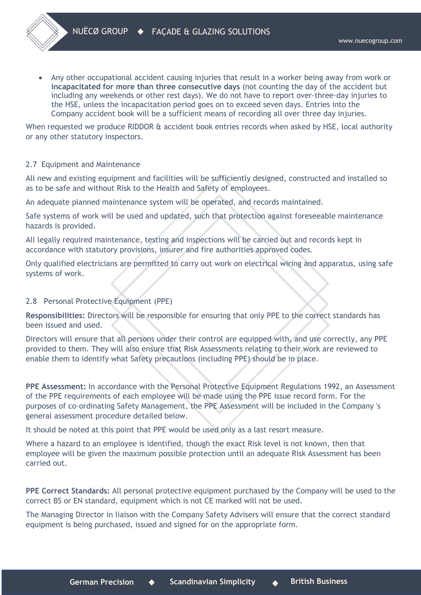• Any other occupational accident causing injuries that result in a worker being away from work or **incapacitated for more than three consecutive days** (not counting the day of the accident but including any weekends or other rest days). We do not have to report over-three-day injuries to the HSE, unless the incapacitation period goes on to exceed seven days. Entries into the Company accident book will be a sufficient means of recording all over three day injuries.

When requested we produce RIDDOR & accident book entries records when asked by HSE, local authority or any other statutory inspectors.

# 2.7 Equipment and Maintenance

All new and existing equipment and facilities will be sufficiently designed, constructed and installed so as to be safe and without Risk to the Health and Safety of employees.

An adequate planned maintenance system will be operated, and records maintained.

Safe systems of work will be used and updated, such that protection against foreseeable maintenance hazards is provided.

All legally required maintenance, testing and inspections will be carried out and records kept in accordance with statutory provisions, insurer and fire authorities approved codes.

Only qualified electricians are permitted to carry out work on electrical wiring and apparatus, using safe systems of work.

# 2.8 Personal Protective Equipment (PPE)

**Responsibilities:** Directors will be responsible for ensuring that only PPE to the correct standards has been issued and used.

Directors will ensure that all persons under their control are equipped with, and use correctly, any PPE provided to them. They will also ensure that Risk Assessments relating to their work are reviewed to enable them to identify what Safety precautions (including PPE) should be in place.

**PPE Assessment:** In accordance with the Personal Protective Equipment Regulations 1992, an Assessment of the PPE requirements of each employee will be made using the PPE issue record form. For the purposes of co-ordinating Safety Management, the PPE Assessment will be included in the Company 's general assessment procedure detailed below.

It should be noted at this point that PPE would be used only as a last resort measure.

Where a hazard to an employee is identified, though the exact Risk level is not known, then that employee will be given the maximum possible protection until an adequate Risk Assessment has been carried out.

**PPE Correct Standards:** All personal protective equipment purchased by the Company will be used to the correct BS or EN standard, equipment which is not CE marked will not be used.

The Managing Director in liaison with the Company Safety Advisers will ensure that the correct standard equipment is being purchased, issued and signed for on the appropriate form.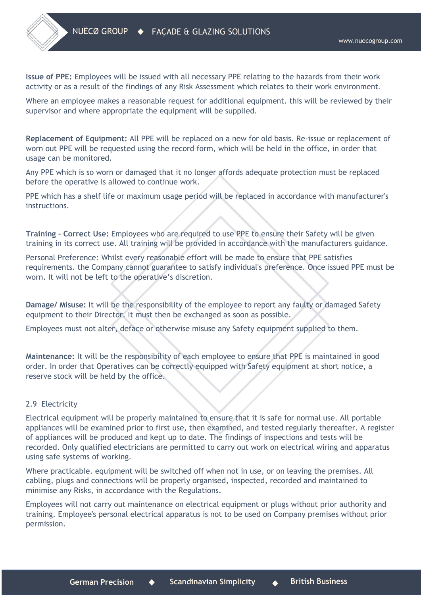**Issue of PPE:** Employees will be issued with all necessary PPE relating to the hazards from their work activity or as a result of the findings of any Risk Assessment which relates to their work environment.

Where an employee makes a reasonable request for additional equipment. this will be reviewed by their supervisor and where appropriate the equipment will be supplied.

**Replacement of Equipment:** All PPE will be replaced on a new for old basis. Re-issue or replacement of worn out PPE will be requested using the record form, which will be held in the office, in order that usage can be monitored.

Any PPE which is so worn or damaged that it no longer affords adequate protection must be replaced before the operative is allowed to continue work.

PPE which has a shelf life or maximum usage period will be replaced in accordance with manufacturer's instructions.

**Training - Correct Use:** Employees who are required to use PPE to ensure their Safety will be given training in its correct use. All training will be provided in accordance with the manufacturers guidance.

Personal Preference: Whilst every reasonable effort will be made to ensure that PPE satisfies requirements. the Company cannot guarantee to satisfy individual's preference. Once issued PPE must be worn. It will not be left to the operative's discretion.

**Damage/ Misuse:** It will be the responsibility of the employee to report any faulty or damaged Safety equipment to their Director. It must then be exchanged as soon as possible.

Employees must not alter, deface or otherwise misuse any Safety equipment supplied to them.

**Maintenance:** It will be the responsibility of each employee to ensure that PPE is maintained in good order. In order that Operatives can be correctly equipped with Safety equipment at short notice, a reserve stock will be held by the office.

### 2.9 Electricity

Electrical equipment will be properly maintained to ensure that it is safe for normal use. All portable appliances will be examined prior to first use, then examined, and tested regularly thereafter. A register of appliances will be produced and kept up to date. The findings of inspections and tests will be recorded. Only qualified electricians are permitted to carry out work on electrical wiring and apparatus using safe systems of working.

Where practicable. equipment will be switched off when not in use, or on leaving the premises. All cabling, plugs and connections will be properly organised, inspected, recorded and maintained to minimise any Risks, in accordance with the Regulations.

Employees will not carry out maintenance on electrical equipment or plugs without prior authority and training. Employee's personal electrical apparatus is not to be used on Company premises without prior permission.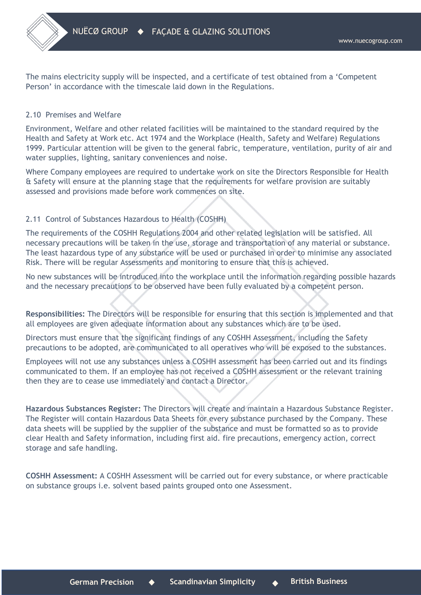The mains electricity supply will be inspected, and a certificate of test obtained from a 'Competent Person' in accordance with the timescale laid down in the Regulations.

# 2.10 Premises and Welfare

Environment, Welfare and other related facilities will be maintained to the standard required by the Health and Safety at Work etc. Act 1974 and the Workplace (Health, Safety and Welfare) Regulations 1999. Particular attention will be given to the general fabric, temperature, ventilation, purity of air and water supplies, lighting, sanitary conveniences and noise.

Where Company employees are required to undertake work on site the Directors Responsible for Health & Safety will ensure at the planning stage that the requirements for welfare provision are suitably assessed and provisions made before work commences on site.

# 2.11 Control of Substances Hazardous to Health (COSHH)

The requirements of the COSHH Regulations 2004 and other related legislation will be satisfied. All necessary precautions will be taken in the use, storage and transportation of any material or substance. The least hazardous type of any substance will be used or purchased in order to minimise any associated Risk. There will be regular Assessments and monitoring to ensure that this is achieved.

No new substances will be introduced into the workplace until the information regarding possible hazards and the necessary precautions to be observed have been fully evaluated by a competent person.

**Responsibilities:** The Directors will be responsible for ensuring that this section is implemented and that all employees are given adequate information about any substances which are to be used.

Directors must ensure that the significant findings of any COSHH Assessment, including the Safety precautions to be adopted, are communicated to all operatives who will be exposed to the substances.

Employees will not use any substances unless a COSHH assessment has been carried out and its findings communicated to them. If an employee has not received a COSHH assessment or the relevant training then they are to cease use immediately and contact a Director.

**Hazardous Substances Register:** The Directors will create and maintain a Hazardous Substance Register. The Register will contain Hazardous Data Sheets for every substance purchased by the Company. These data sheets will be supplied by the supplier of the substance and must be formatted so as to provide clear Health and Safety information, including first aid. fire precautions, emergency action, correct storage and safe handling.

**COSHH Assessment:** A COSHH Assessment will be carried out for every substance, or where practicable on substance groups i.e. solvent based paints grouped onto one Assessment.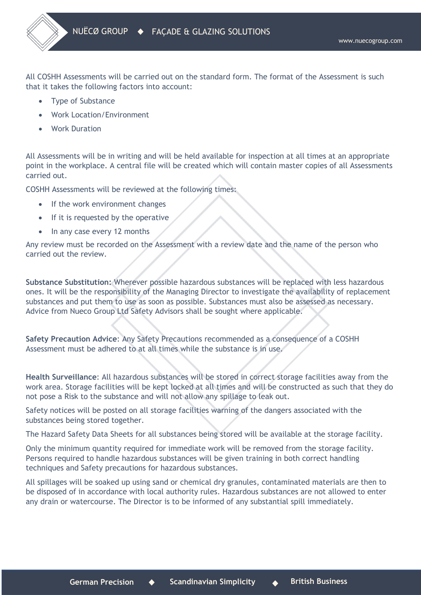All COSHH Assessments will be carried out on the standard form. The format of the Assessment is such that it takes the following factors into account:

- Type of Substance
- Work Location/Environment
- **Work Duration**

All Assessments will be in writing and will be held available for inspection at all times at an appropriate point in the workplace. A central file will be created which will contain master copies of all Assessments carried out.

COSHH Assessments will be reviewed at the following times:

- If the work environment changes
- If it is requested by the operative
- In any case every 12 months

Any review must be recorded on the Assessment with a review date and the name of the person who carried out the review.

**Substance Substitution:** Wherever possible hazardous substances will be replaced with less hazardous ones. It will be the responsibility of the Managing Director to investigate the availability of replacement substances and put them to use as soon as possible. Substances must also be assessed as necessary. Advice from Nueco Group Ltd Safety Advisors shall be sought where applicable.

**Safety Precaution Advice**: Any Safety Precautions recommended as a consequence of a COSHH Assessment must be adhered to at all times while the substance is in use.

**Health Surveillance**: All hazardous substances will be stored in correct storage facilities away from the work area. Storage facilities will be kept locked at all times and will be constructed as such that they do not pose a Risk to the substance and will not allow any spillage to leak out.

Safety notices will be posted on all storage facilities warning of the dangers associated with the substances being stored together.

The Hazard Safety Data Sheets for all substances being stored will be available at the storage facility.

Only the minimum quantity required for immediate work will be removed from the storage facility. Persons required to handle hazardous substances will be given training in both correct handling techniques and Safety precautions for hazardous substances.

All spillages will be soaked up using sand or chemical dry granules, contaminated materials are then to be disposed of in accordance with local authority rules. Hazardous substances are not allowed to enter any drain or watercourse. The Director is to be informed of any substantial spill immediately.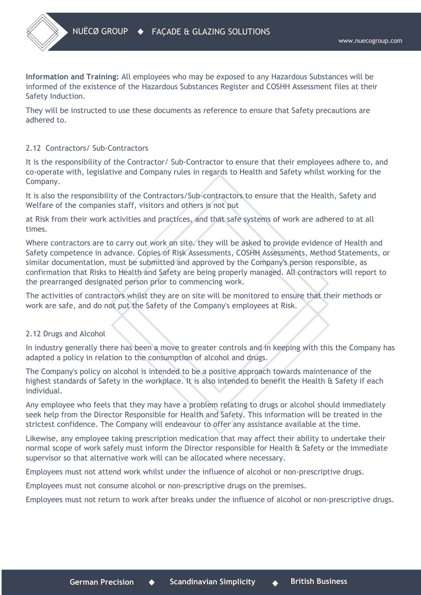**Information and Training:** All employees who may be exposed to any Hazardous Substances will be informed of the existence of the Hazardous Substances Register and COSHH Assessment files at their Safety Induction.

They will be instructed to use these documents as reference to ensure that Safety precautions are adhered to.

# 2.12 Contractors/ Sub-Contractors

It is the responsibility of the Contractor/ Sub-Contractor to ensure that their employees adhere to, and co-operate with, legislative and Company rules in regards to Health and Safety whilst working for the Company.

It is also the responsibility of the Contractors/Sub-contractors to ensure that the Health, Safety and Welfare of the companies staff, visitors and others is not put

at Risk from their work activities and practices, and that safe systems of work are adhered to at all times.

Where contractors are to carry out work on site. they will be asked to provide evidence of Health and Safety competence in advance. Copies of Risk Assessments, COSHH Assessments, Method Statements, or similar documentation, must be submitted and approved by the Company's person responsible, as confirmation that Risks to Health and Safety are being properly managed. All contractors will report to the prearranged designated person prior to commencing work.

The activities of contractors whilst they are on site will be monitored to ensure that their methods or work are safe, and do not put the Safety of the Company's employees at Risk.

### 2.12 Drugs and Alcohol

In industry generally there has been a move to greater controls and in keeping with this the Company has adapted a policy in relation to the consumption of alcohol and drugs.

The Company's policy on alcohol is intended to be a positive approach towards maintenance of the highest standards of Safety in the workplace. It is also intended to benefit the Health & Safety if each individual.

Any employee who feels that they may have a problem relating to drugs or alcohol should immediately seek help from the Director Responsible for Health and Safety. This information will be treated in the strictest confidence. The Company will endeavour to offer any assistance available at the time.

Likewise, any employee taking prescription medication that may affect their ability to undertake their normal scope of work safely must inform the Director responsible for Health & Safety or the immediate supervisor so that alternative work will can be allocated where necessary.

Employees must not attend work whilst under the influence of alcohol or non-prescriptive drugs.

Employees must not consume alcohol or non-prescriptive drugs on the premises.

Employees must not return to work after breaks under the influence of alcohol or non-prescriptive drugs.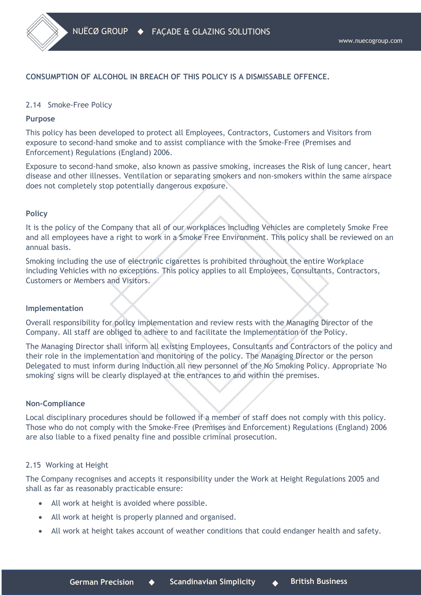# **CONSUMPTION OF ALCOHOL IN BREACH OF THIS POLICY IS A DISMISSABLE OFFENCE.**

# 2.14 Smoke-Free Policy

### **Purpose**

This policy has been developed to protect all Employees, Contractors, Customers and Visitors from exposure to second-hand smoke and to assist compliance with the Smoke-Free (Premises and Enforcement) Regulations (England) 2006.

Exposure to second-hand smoke, also known as passive smoking, increases the Risk of lung cancer, heart disease and other illnesses. Ventilation or separating smokers and non-smokers within the same airspace does not completely stop potentially dangerous exposure.

# **Policy**

It is the policy of the Company that all of our workplaces including Vehicles are completely Smoke Free and all employees have a right to work in a Smoke Free Environment. This policy shall be reviewed on an annual basis.

Smoking including the use of electronic cigarettes is prohibited throughout the entire Workplace including Vehicles with no exceptions. This policy applies to all Employees, Consultants, Contractors, Customers or Members and Visitors.

### **Implementation**

Overall responsibility for policy implementation and review rests with the Managing Director of the Company. All staff are obliged to adhere to and facilitate the Implementation of the Policy.

The Managing Director shall inform all existing Employees, Consultants and Contractors of the policy and their role in the implementation and monitoring of the policy. The Managing Director or the person Delegated to must inform during Induction all new personnel of the No Smoking Policy. Appropriate 'No smoking' signs will be clearly displayed at the entrances to and within the premises.

### **Non-Compliance**

Local disciplinary procedures should be followed if a member of staff does not comply with this policy. Those who do not comply with the Smoke-Free (Premises and Enforcement) Regulations (England) 2006 are also liable to a fixed penalty fine and possible criminal prosecution.

# 2.15 Working at Height

The Company recognises and accepts it responsibility under the Work at Height Regulations 2005 and shall as far as reasonably practicable ensure:

- All work at height is avoided where possible.
- All work at height is properly planned and organised.
- All work at height takes account of weather conditions that could endanger health and safety.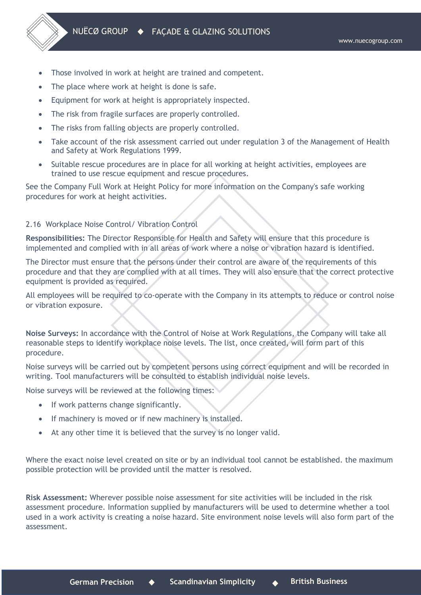- Those involved in work at height are trained and competent.
- The place where work at height is done is safe.
- Equipment for work at height is appropriately inspected.
- The risk from fragile surfaces are properly controlled.
- The risks from falling objects are properly controlled.
- Take account of the risk assessment carried out under regulation 3 of the Management of Health and Safety at Work Regulations 1999.
- Suitable rescue procedures are in place for all working at height activities, employees are trained to use rescue equipment and rescue procedures.

See the Company Full Work at Height Policy for more information on the Company's safe working procedures for work at height activities.

# 2.16 Workplace Noise Control/ Vibration Control

**Responsibilities:** The Director Responsible for Health and Safety will ensure that this procedure is implemented and complied with in all areas of work where a noise or vibration hazard is identified.

The Director must ensure that the persons under their control are aware of the requirements of this procedure and that they are complied with at all times. They will also ensure that the correct protective equipment is provided as required.

All employees will be required to co-operate with the Company in its attempts to reduce or control noise or vibration exposure.

**Noise Surveys:** In accordance with the Control of Noise at Work Regulations, the Company will take all reasonable steps to identify workplace noise levels. The list, once created, will form part of this procedure.

Noise surveys will be carried out by competent persons using correct equipment and will be recorded in writing. Tool manufacturers will be consulted to establish individual noise levels.

Noise surveys will be reviewed at the following times:

- If work patterns change significantly.
- If machinery is moved or if new machinery is installed.
- At any other time it is believed that the survey is no longer valid.

Where the exact noise level created on site or by an individual tool cannot be established. the maximum possible protection will be provided until the matter is resolved.

**Risk Assessment:** Wherever possible noise assessment for site activities will be included in the risk assessment procedure. Information supplied by manufacturers will be used to determine whether a tool used in a work activity is creating a noise hazard. Site environment noise levels will also form part of the assessment.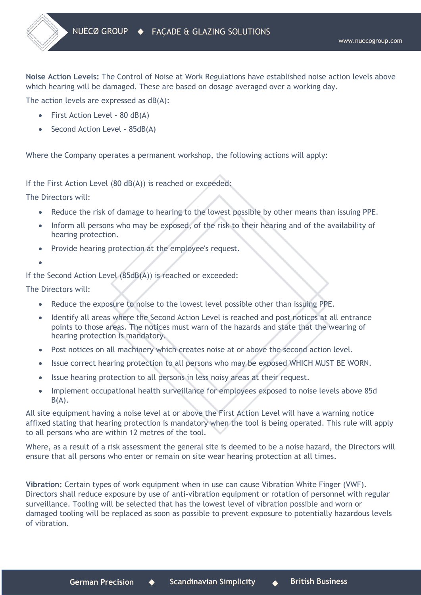**Noise Action Levels:** The Control of Noise at Work Regulations have established noise action levels above which hearing will be damaged. These are based on dosage averaged over a working day.

The action levels are expressed as dB(A):

- First Action Level 80 dB(A)
- Second Action Level 85dB(A)

Where the Company operates a permanent workshop, the following actions will apply:

If the First Action Level (80 dB(A)) is reached or exceeded:

The Directors will:

- Reduce the risk of damage to hearing to the lowest possible by other means than issuing PPE.
- Inform all persons who may be exposed, of the risk to their hearing and of the availability of hearing protection.
- Provide hearing protection at the employee's request.
- •

If the Second Action Level (85dB(A)) is reached or exceeded:

The Directors will:

- Reduce the exposure to noise to the lowest level possible other than issuing PPE.
- Identify all areas where the Second Action Level is reached and post notices at all entrance points to those areas. The notices must warn of the hazards and state that the wearing of hearing protection is mandatory.
- Post notices on all machinery which creates noise at or above the second action level.
- Issue correct hearing protection to all persons who may be exposed WHICH MUST BE WORN.
- Issue hearing protection to all persons in less noisy areas at their request.
- Implement occupational health surveillance for employees exposed to noise levels above 85d  $B(A)$ .

All site equipment having a noise level at or above the First Action Level will have a warning notice affixed stating that hearing protection is mandatory when the tool is being operated. This rule will apply to all persons who are within 12 metres of the tool.

Where, as a result of a risk assessment the general site is deemed to be a noise hazard, the Directors will ensure that all persons who enter or remain on site wear hearing protection at all times.

**Vibration:** Certain types of work equipment when in use can cause Vibration White Finger (VWF). Directors shall reduce exposure by use of anti-vibration equipment or rotation of personnel with regular surveillance. Tooling will be selected that has the lowest level of vibration possible and worn or damaged tooling will be replaced as soon as possible to prevent exposure to potentially hazardous levels of vibration.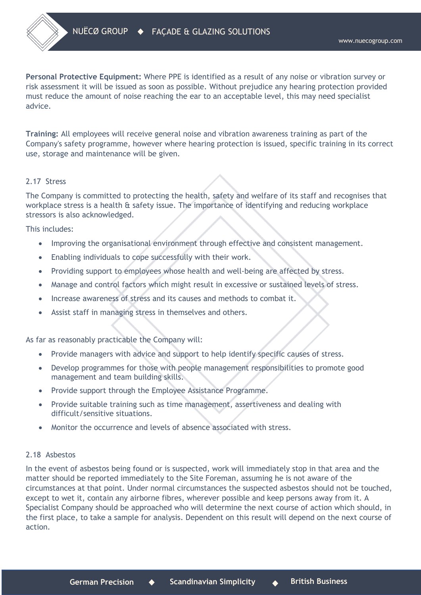**Personal Protective Equipment:** Where PPE is identified as a result of any noise or vibration survey or risk assessment it will be issued as soon as possible. Without prejudice any hearing protection provided must reduce the amount of noise reaching the ear to an acceptable level, this may need specialist advice.

**Training:** All employees will receive general noise and vibration awareness training as part of the Company's safety programme, however where hearing protection is issued, specific training in its correct use, storage and maintenance will be given.

# 2.17 Stress

The Company is committed to protecting the health, safety and welfare of its staff and recognises that workplace stress is a health & safety issue. The importance of identifying and reducing workplace stressors is also acknowledged.

This includes:

- Improving the organisational environment through effective and consistent management.
- Enabling individuals to cope successfully with their work.
- Providing support to employees whose health and well-being are affected by stress.
- Manage and control factors which might result in excessive or sustained levels of stress.
- Increase awareness of stress and its causes and methods to combat it.
- Assist staff in managing stress in themselves and others.

As far as reasonably practicable the Company will:

- Provide managers with advice and support to help identify specific causes of stress.
- Develop programmes for those with people management responsibilities to promote good management and team building skills.
- Provide support through the Employee Assistance Programme.
- Provide suitable training such as time management, assertiveness and dealing with difficult/sensitive situations.
- Monitor the occurrence and levels of absence associated with stress.

### 2.18 Asbestos

In the event of asbestos being found or is suspected, work will immediately stop in that area and the matter should be reported immediately to the Site Foreman, assuming he is not aware of the circumstances at that point. Under normal circumstances the suspected asbestos should not be touched, except to wet it, contain any airborne fibres, wherever possible and keep persons away from it. A Specialist Company should be approached who will determine the next course of action which should, in the first place, to take a sample for analysis. Dependent on this result will depend on the next course of action.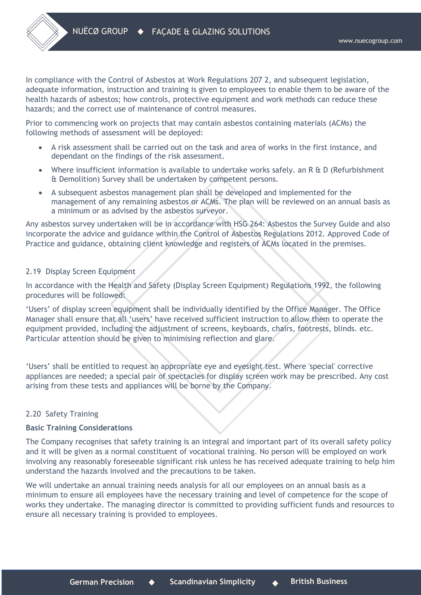In compliance with the Control of Asbestos at Work Regulations 207 2, and subsequent legislation, adequate information, instruction and training is given to employees to enable them to be aware of the health hazards of asbestos; how controls, protective equipment and work methods can reduce these hazards; and the correct use of maintenance of control measures.

Prior to commencing work on projects that may contain asbestos containing materials (ACMs) the following methods of assessment will be deployed:

- A risk assessment shall be carried out on the task and area of works in the first instance, and dependant on the findings of the risk assessment.
- Where insufficient information is available to undertake works safely, an R & D (Refurbishment & Demolition) Survey shall be undertaken by competent persons.
- A subsequent asbestos management plan shall be developed and implemented for the management of any remaining asbestos or ACMs. The plan will be reviewed on an annual basis as a minimum or as advised by the asbestos surveyor.

Any asbestos survey undertaken will be in accordance with HSG 264: Asbestos the Survey Guide and also incorporate the advice and guidance within the Control of Asbestos Regulations 2012. Approved Code of Practice and guidance, obtaining client knowledge and registers of ACMs located in the premises.

# 2.19 Display Screen Equipment

In accordance with the Health and Safety (Display Screen Equipment) Regulations 1992, the following procedures will be followed:

'Users' of display screen equipment shall be individually identified by the Office Manager. The Office Manager shall ensure that all 'users' have received sufficient instruction to allow them to operate the equipment provided, including the adjustment of screens, keyboards, chairs, footrests, blinds. etc. Particular attention should be given to minimising reflection and glare.

'Users' shall be entitled to request an appropriate eye and eyesight test. Where 'special' corrective appliances are needed; a special pair of spectacles for display screen work may be prescribed. Any cost arising from these tests and appliances will be borne by the Company.

# 2.20 Safety Training

### **Basic Training Considerations**

The Company recognises that safety training is an integral and important part of its overall safety policy and it will be given as a normal constituent of vocational training. No person will be employed on work involving any reasonably foreseeable significant risk unless he has received adequate training to help him understand the hazards involved and the precautions to be taken.

We will undertake an annual training needs analysis for all our employees on an annual basis as a minimum to ensure all employees have the necessary training and level of competence for the scope of works they undertake. The managing director is committed to providing sufficient funds and resources to ensure all necessary training is provided to employees.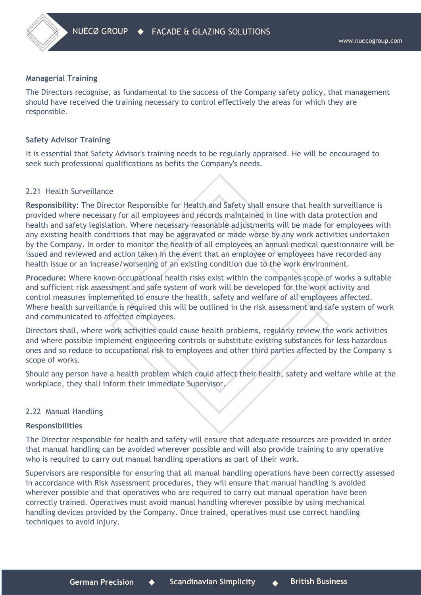

#### **Managerial Training**

The Directors recognise, as fundamental to the success of the Company safety policy, that management should have received the training necessary to control effectively the areas for which they are responsible.

#### **Safety Advisor Training**

It is essential that Safety Advisor's training needs to be regularly appraised. He will be encouraged to seek such professional qualifications as befits the Company's needs.

#### 2.21 Health Surveillance

**Responsibility:** The Director Responsible for Health and Safety shall ensure that health surveillance is provided where necessary for all employees and records maintained in line with data protection and health and safety legislation. Where necessary reasonable adjustments will be made for employees with any existing health conditions that may be aggravated or made worse by any work activities undertaken by the Company. In order to monitor the health of all employees an annual medical questionnaire will be issued and reviewed and action taken in the event that an employee or employees have recorded any health issue or an increase/worsening of an existing condition due to the work environment.

**Procedure:** Where known occupational health risks exist within the companies scope of works a suitable and sufficient risk assessment and safe system of work will be developed for the work activity and control measures implemented to ensure the health, safety and welfare of all employees affected. Where health surveillance is required this will be outlined in the risk assessment and safe system of work and communicated to affected employees.

Directors shall, where work activities could cause health problems, regularly review the work activities and where possible implement engineering controls or substitute existing substances for less hazardous ones and so reduce to occupational risk to employees and other third parties affected by the Company 's scope of works.

Should any person have a health problem which could affect their health, safety and welfare while at the workplace, they shall inform their immediate Supervisor.

#### 2.22 Manual Handling

#### **Responsibilities**

The Director responsible for health and safety will ensure that adequate resources are provided in order that manual handling can be avoided wherever possible and will also provide training to any operative who is required to carry out manual handling operations as part of their work.

Supervisors are responsible for ensuring that all manual handling operations have been correctly assessed in accordance with Risk Assessment procedures, they will ensure that manual handling is avoided wherever possible and that operatives who are required to carry out manual operation have been correctly trained. Operatives must avoid manual handling wherever possible by using mechanical handling devices provided by the Company. Once trained, operatives must use correct handling techniques to avoid injury.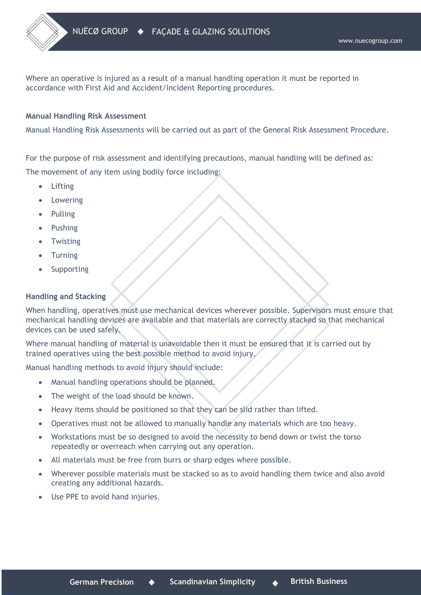Where an operative is injured as a result of a manual handling operation it must be reported in accordance with First Aid and Accident/Incident Reporting procedures.

## **Manual Handling Risk Assessment**

Manual Handling Risk Assessments will be carried out as part of the General Risk Assessment Procedure.

For the purpose of risk assessment and identifying precautions, manual handling will be defined as: The movement of any item using bodily force including:

- Lifting
- **Lowering**
- Pulling
- Pushing
- Twisting
- Turning
- **Supporting**

# **Handling and Stacking**

When handling, operatives must use mechanical devices wherever possible. Supervisors must ensure that mechanical handling devices are available and that materials are correctly stacked so that mechanical devices can be used safely.

Where manual handling of material is unavoidable then it must be ensured that it is carried out by trained operatives using the best possible method to avoid injury.

Manual handling methods to avoid injury should include:

- Manual handling operations should be planned.
- The weight of the load should be known.
- Heavy items should be positioned so that they can be slid rather than lifted.
- Operatives must not be allowed to manually handle any materials which are too heavy.
- Workstations must be so designed to avoid the necessity to bend down or twist the torso repeatedly or overreach when carrying out any operation.
- All materials must be free from burrs or sharp edges where possible.
- Wherever possible materials must be stacked so as to avoid handling them twice and also avoid creating any additional hazards.
- Use PPE to avoid hand injuries.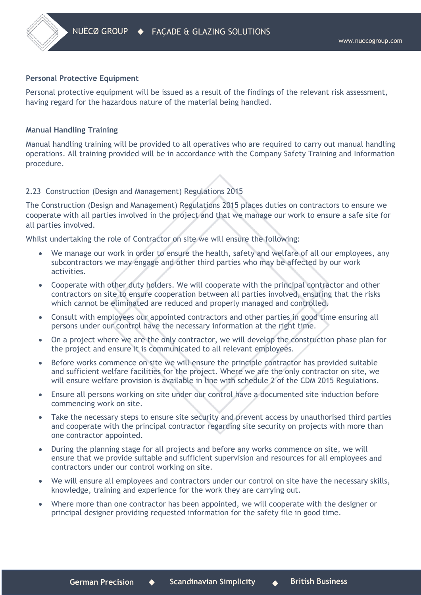## **Personal Protective Equipment**

Personal protective equipment will be issued as a result of the findings of the relevant risk assessment, having regard for the hazardous nature of the material being handled.

# **Manual Handling Training**

Manual handling training will be provided to all operatives who are required to carry out manual handling operations. All training provided will be in accordance with the Company Safety Training and Information procedure.

# 2.23 Construction (Design and Management) Regulations 2015

The Construction (Design and Management) Regulations 2015 places duties on contractors to ensure we cooperate with all parties involved in the project and that we manage our work to ensure a safe site for all parties involved.

Whilst undertaking the role of Contractor on site we will ensure the following:

- We manage our work in order to ensure the health, safety and welfare of all our employees, any subcontractors we may engage and other third parties who may be affected by our work activities.
- Cooperate with other duty holders. We will cooperate with the principal contractor and other contractors on site to ensure cooperation between all parties involved, ensuring that the risks which cannot be eliminated are reduced and properly managed and controlled.
- Consult with employees our appointed contractors and other parties in good time ensuring all persons under our control have the necessary information at the right time.
- On a project where we are the only contractor, we will develop the construction phase plan for the project and ensure it is communicated to all relevant employees.
- Before works commence on site we will ensure the principle contractor has provided suitable and sufficient welfare facilities for the project. Where we are the only contractor on site, we will ensure welfare provision is available in line with schedule 2 of the CDM 2015 Regulations.
- Ensure all persons working on site under our control have a documented site induction before commencing work on site.
- Take the necessary steps to ensure site security and prevent access by unauthorised third parties and cooperate with the principal contractor regarding site security on projects with more than one contractor appointed.
- During the planning stage for all projects and before any works commence on site, we will ensure that we provide suitable and sufficient supervision and resources for all employees and contractors under our control working on site.
- We will ensure all employees and contractors under our control on site have the necessary skills, knowledge, training and experience for the work they are carrying out.
- Where more than one contractor has been appointed, we will cooperate with the designer or principal designer providing requested information for the safety file in good time.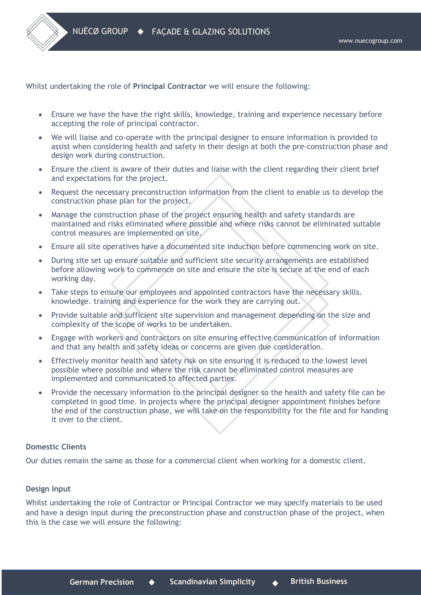Whilst undertaking the role of **Principal Contractor** we will ensure the following:

- Ensure we have the have the right skills, knowledge, training and experience necessary before accepting the role of principal contractor.
- We will liaise and co-operate with the principal designer to ensure information is provided to assist when considering health and safety in their design at both the pre-construction phase and design work during construction.
- Ensure the client is aware of their duties and liaise with the client regarding their client brief and expectations for the project.
- Request the necessary preconstruction information from the client to enable us to develop the construction phase plan for the project.
- Manage the construction phase of the project ensuring health and safety standards are maintained and risks eliminated where possible and where risks cannot be eliminated suitable control measures are implemented on site.
- Ensure all site operatives have a documented site induction before commencing work on site.
- During site set up ensure suitable and sufficient site security arrangements are established before allowing work to commence on site and ensure the site is secure at the end of each working day.
- Take steps to ensure our employees and appointed contractors have the necessary skills. knowledge. training and experience for the work they are carrying out.
- Provide suitable and sufficient site supervision and management depending on the size and complexity of the scope of works to be undertaken.
- Engage with workers and contractors on site ensuring effective communication of information and that any health and safety ideas or concerns are given due consideration.
- Effectively monitor health and safety risk on site ensuring it is reduced to the lowest level possible where possible and where the risk cannot be eliminated control measures are implemented and communicated to affected parties.
- Provide the necessary information to the principal designer so the health and safety file can be completed in good time. In projects where the principal designer appointment finishes before the end of the construction phase, we will take on the responsibility for the file and for handing it over to the client.

## **Domestic Clients**

Our duties remain the same as those for a commercial client when working for a domestic client.

# **Design Input**

Whilst undertaking the role of Contractor or Principal Contractor we may specify materials to be used and have a design input during the preconstruction phase and construction phase of the project, when this is the case we will ensure the following: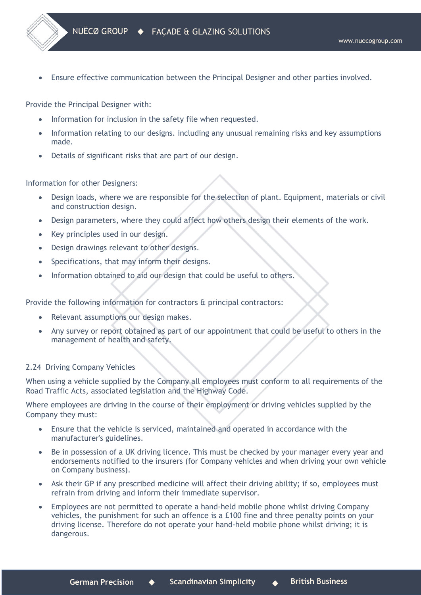• Ensure effective communication between the Principal Designer and other parties involved.

Provide the Principal Designer with:

- Information for inclusion in the safety file when requested.
- Information relating to our designs. including any unusual remaining risks and key assumptions made.
- Details of significant risks that are part of our design.

Information for other Designers:

- Design loads, where we are responsible for the selection of plant. Equipment, materials or civil and construction design.
- Design parameters, where they could affect how others design their elements of the work.
- Key principles used in our design.
- Design drawings relevant to other designs.
- Specifications, that may inform their designs.
- Information obtained to aid our design that could be useful to others.

Provide the following information for contractors & principal contractors:

- Relevant assumptions our design makes.
- Any survey or report obtained as part of our appointment that could be useful to others in the management of health and safety.

# 2.24 Driving Company Vehicles

When using a vehicle supplied by the Company all employees must conform to all requirements of the Road Traffic Acts, associated legislation and the Highway Code.

Where employees are driving in the course of their employment or driving vehicles supplied by the Company they must:

- Ensure that the vehicle is serviced, maintained and operated in accordance with the manufacturer's guidelines.
- Be in possession of a UK driving licence. This must be checked by your manager every year and endorsements notified to the insurers (for Company vehicles and when driving your own vehicle on Company business).
- Ask their GP if any prescribed medicine will affect their driving ability; if so, employees must refrain from driving and inform their immediate supervisor.
- Employees are not permitted to operate a hand-held mobile phone whilst driving Company vehicles, the punishment for such an offence is a £100 fine and three penalty points on your driving license. Therefore do not operate your hand-held mobile phone whilst driving; it is dangerous.